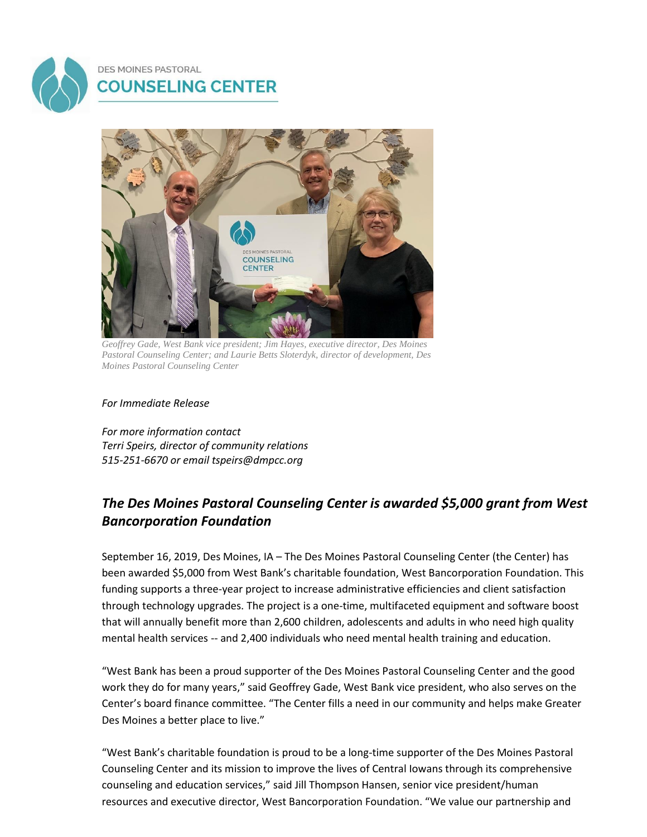



*Geoffrey Gade, West Bank vice president; Jim Hayes, executive director, Des Moines Pastoral Counseling Center; and Laurie Betts Sloterdyk, director of development, Des Moines Pastoral Counseling Center*

*For Immediate Release*

*For more information contact Terri Speirs, director of community relations 515-251-6670 or emai[l tspeirs@dmpcc.org](mailto:tspeirs@dmpcc.org)*

## *The Des Moines Pastoral Counseling Center is awarded \$5,000 grant from West Bancorporation Foundation*

September 16, 2019, Des Moines, IA – The Des Moines Pastoral Counseling Center (the Center) has been awarded \$5,000 from West Bank's charitable foundation, West Bancorporation Foundation. This funding supports a three-year project to increase administrative efficiencies and client satisfaction through technology upgrades. The project is a one-time, multifaceted equipment and software boost that will annually benefit more than 2,600 children, adolescents and adults in who need high quality mental health services -- and 2,400 individuals who need mental health training and education.

"West Bank has been a proud supporter of the Des Moines Pastoral Counseling Center and the good work they do for many years," said Geoffrey Gade, West Bank vice president, who also serves on the Center's board finance committee. "The Center fills a need in our community and helps make Greater Des Moines a better place to live."

"West Bank's charitable foundation is proud to be a long-time supporter of the Des Moines Pastoral Counseling Center and its mission to improve the lives of Central Iowans through its comprehensive counseling and education services," said Jill Thompson Hansen, senior vice president/human resources and executive director, West Bancorporation Foundation. "We value our partnership and